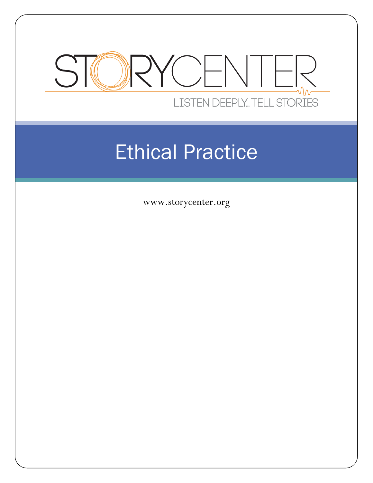

# Ethical Practice

www.storycenter.org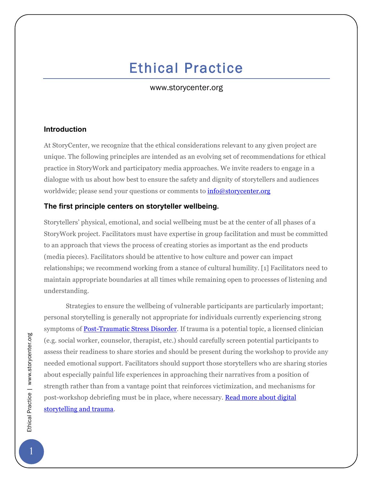# Ethical Practice

#### www.storycenter.org

#### **Introduction**

At StoryCenter, we recognize that the ethical considerations relevant to any given project are unique. The following principles are intended as an evolving set of recommendations for ethical practice in StoryWork and participatory media approaches. We invite readers to engage in a dialogue with us about how best to ensure the safety and dignity of storytellers and audiences worldwide; please send your questions or comments to  $info@storycenter.org$ 

#### **The first principle centers on storyteller wellbeing.**

Storytellers' physical, emotional, and social wellbeing must be at the center of all phases of a StoryWork project. Facilitators must have expertise in group facilitation and must be committed to an approach that views the process of creating stories as important as the end products (media pieces). Facilitators should be attentive to how culture and power can impact relationships; we recommend working from a stance of cultural humility. [1] Facilitators need to maintain appropriate boundaries at all times while remaining open to processes of listening and understanding.

Strategies to ensure the wellbeing of vulnerable participants are particularly important; personal storytelling is generally not appropriate for individuals currently experiencing strong symptoms of **Post-Traumatic Stress Disorder**. If trauma is a potential topic, a licensed clinician (e.g. social worker, counselor, therapist, etc.) should carefully screen potential participants to assess their readiness to share stories and should be present during the workshop to provide any needed emotional support. Facilitators should support those storytellers who are sharing stories about especially painful life experiences in approaching their narratives from a position of strength rather than from a vantage point that reinforces victimization, and mechanisms for [post-workshop debriefing must be in place, where necessary.](http://static1.squarespace.com/static/55368c08e4b0d419e1c011f7/t/57911f75ff7c509cb123c5a5/1469128565487/SS_Trauma.pdf) Read more about digital storytelling and trauma.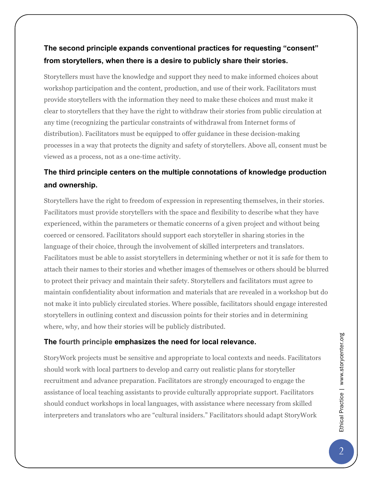## **The second principle expands conventional practices for requesting "consent" from storytellers, when there is a desire to publicly share their stories.**

Storytellers must have the knowledge and support they need to make informed choices about workshop participation and the content, production, and use of their work. Facilitators must provide storytellers with the information they need to make these choices and must make it clear to storytellers that they have the right to withdraw their stories from public circulation at any time (recognizing the particular constraints of withdrawal from Internet forms of distribution). Facilitators must be equipped to offer guidance in these decision-making processes in a way that protects the dignity and safety of storytellers. Above all, consent must be viewed as a process, not as a one-time activity.

# **The third principle centers on the multiple connotations of knowledge production and ownership.**

Storytellers have the right to freedom of expression in representing themselves, in their stories. Facilitators must provide storytellers with the space and flexibility to describe what they have experienced, within the parameters or thematic concerns of a given project and without being coerced or censored. Facilitators should support each storyteller in sharing stories in the language of their choice, through the involvement of skilled interpreters and translators. Facilitators must be able to assist storytellers in determining whether or not it is safe for them to attach their names to their stories and whether images of themselves or others should be blurred to protect their privacy and maintain their safety. Storytellers and facilitators must agree to maintain confidentiality about information and materials that are revealed in a workshop but do not make it into publicly circulated stories. Where possible, facilitators should engage interested storytellers in outlining context and discussion points for their stories and in determining where, why, and how their stories will be publicly distributed.

#### **The fourth principle emphasizes the need for local relevance.**

StoryWork projects must be sensitive and appropriate to local contexts and needs. Facilitators should work with local partners to develop and carry out realistic plans for storyteller recruitment and advance preparation. Facilitators are strongly encouraged to engage the assistance of local teaching assistants to provide culturally appropriate support. Facilitators should conduct workshops in local languages, with assistance where necessary from skilled interpreters and translators who are "cultural insiders." Facilitators should adapt StoryWork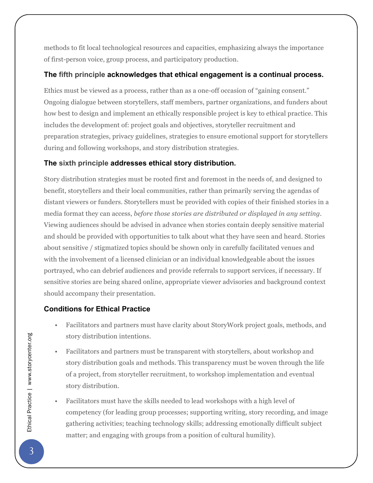methods to fit local technological resources and capacities, emphasizing always the importance of first-person voice, group process, and participatory production.

#### **The fifth principle acknowledges that ethical engagement is a continual process.**

Ethics must be viewed as a process, rather than as a one-off occasion of "gaining consent." Ongoing dialogue between storytellers, staff members, partner organizations, and funders about how best to design and implement an ethically responsible project is key to ethical practice. This includes the development of: project goals and objectives, storyteller recruitment and preparation strategies, privacy guidelines, strategies to ensure emotional support for storytellers during and following workshops, and story distribution strategies.

#### **The sixth principle addresses ethical story distribution.**

Story distribution strategies must be rooted first and foremost in the needs of, and designed to benefit, storytellers and their local communities, rather than primarily serving the agendas of distant viewers or funders. Storytellers must be provided with copies of their finished stories in a media format they can access, *before those stories are distributed or displayed in any setting*. Viewing audiences should be advised in advance when stories contain deeply sensitive material and should be provided with opportunities to talk about what they have seen and heard. Stories about sensitive / stigmatized topics should be shown only in carefully facilitated venues and with the involvement of a licensed clinician or an individual knowledgeable about the issues portrayed, who can debrief audiences and provide referrals to support services, if necessary. If sensitive stories are being shared online, appropriate viewer advisories and background context should accompany their presentation.

#### **Conditions for Ethical Practice**

- Facilitators and partners must have clarity about StoryWork project goals, methods, and story distribution intentions.
- Facilitators and partners must be transparent with storytellers, about workshop and story distribution goals and methods. This transparency must be woven through the life of a project, from storyteller recruitment, to workshop implementation and eventual story distribution.
- Facilitators must have the skills needed to lead workshops with a high level of competency (for leading group processes; supporting writing, story recording, and image gathering activities; teaching technology skills; addressing emotionally difficult subject matter; and engaging with groups from a position of cultural humility).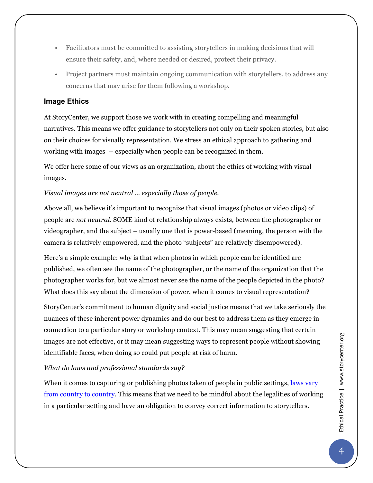- Facilitators must be committed to assisting storytellers in making decisions that will ensure their safety, and, where needed or desired, protect their privacy.
- Project partners must maintain ongoing communication with storytellers, to address any concerns that may arise for them following a workshop.

#### **Image Ethics**

At StoryCenter, we support those we work with in creating compelling and meaningful narratives. This means we offer guidance to storytellers not only on their spoken stories, but also on their choices for visually representation. We stress an ethical approach to gathering and working with images -- especially when people can be recognized in them.

We offer here some of our views as an organization, about the ethics of working with visual images.

#### *Visual images are not neutral … especially those of people.*

Above all, we believe it's important to recognize that visual images (photos or video clips) of people are *not neutral*. SOME kind of relationship always exists, between the photographer or videographer, and the subject – usually one that is power-based (meaning, the person with the camera is relatively empowered, and the photo "subjects" are relatively disempowered).

Here's a simple example: why is that when photos in which people can be identified are published, we often see the name of the photographer, or the name of the organization that the photographer works for, but we almost never see the name of the people depicted in the photo? What does this say about the dimension of power, when it comes to visual representation?

StoryCenter's commitment to human dignity and social justice means that we take seriously the nuances of these inherent power dynamics and do our best to address them as they emerge in connection to a particular story or workshop context. This may mean suggesting that certain images are not effective, or it may mean suggesting ways to represent people without showing identifiable faces, when doing so could put people at risk of harm.

#### *What do laws and professional standards say?*

[When it comes to capturing or publishing photos taken of people in public settings, laws vary](https://commons.wikimedia.org/wiki/Commons:Country_specific_consent_requirements) from country to country. This means that we need to be mindful about the legalities of working in a particular setting and have an obligation to convey correct information to storytellers.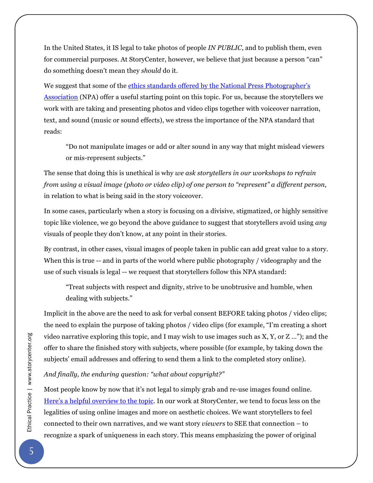In the United States, it IS legal to take photos of people *IN PUBLIC*, and to publish them, even for commercial purposes. At StoryCenter, however, we believe that just because a person "can" do something doesn't mean they *should* do it.

We suggest that some of the ethics standards offered by the National Press Photographer's Association (NPA) offer a useful starting point on this topic. For us, because the storytellers we work with are taking and presenting photos and video clips together with voiceover narration, text, and sound (music or sound effects), we stress the importance of the NPA standard that reads:

"Do not manipulate images or add or alter sound in any way that might mislead viewers or mis-represent subjects."

The sense that doing this is unethical is why *we ask storytellers in our workshops to refrain from using a visual image (photo or video clip) of one person to "represent" a different person*, in relation to what is being said in the story voiceover.

In some cases, particularly when a story is focusing on a divisive, stigmatized, or highly sensitive topic like violence, we go beyond the above guidance to suggest that storytellers avoid using *any* visuals of people they don't know, at any point in their stories.

By contrast, in other cases, visual images of people taken in public can add great value to a story. When this is true -- and in parts of the world where public photography / videography and the use of such visuals is legal -- we request that storytellers follow this NPA standard:

"Treat subjects with respect and dignity, strive to be unobtrusive and humble, when dealing with subjects."

Implicit in the above are the need to ask for verbal consent BEFORE taking photos / video clips; the need to explain the purpose of taking photos / video clips (for example, "I'm creating a short video narrative exploring this topic, and I may wish to use images such as X, Y, or Z …"); and the offer to share the finished story with subjects, where possible (for example, by taking down the subjects' email addresses and offering to send them a link to the completed story online).

*And finally, the enduring question: "what about copyright?"*

Most people know by now that it's not legal to simply grab and re-use images found online. [Here's a helpful overview to the topic.](https://www.rivaliq.com/blog/guide-copyright-fair-use-laws-online-images/) In our work at StoryCenter, we tend to focus less on the legalities of using online images and more on aesthetic choices. We want storytellers to feel connected to their own narratives, and we want story *viewers* to SEE that connection – to recognize a spark of uniqueness in each story. This means emphasizing the power of original

 $5<sup>1</sup>$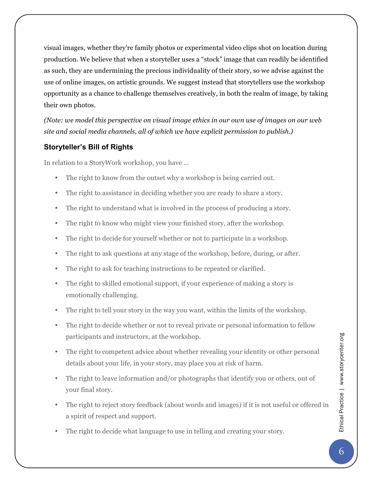visual images, whether they're family photos or experimental video clips shot on location during production. We believe that when a storyteller uses a "stock" image that can readily be identified as such, they are undermining the precious individuality of their story, so we advise against the use of online images, on artistic grounds. We suggest instead that storytellers use the workshop opportunity as a chance to challenge themselves creatively, in both the realm of image, by taking their own photos.

*(Note: we model this perspective on visual image ethics in our own use of images on our web site and social media channels, all of which we have explicit permission to publish.)* 

#### **Storyteller's Bill of Rights**

In relation to a StoryWork workshop, you have …

- The right to know from the outset why a workshop is being carried out.
- The right to assistance in deciding whether you are ready to share a story.
- The right to understand what is involved in the process of producing a story.
- The right to know who might view your finished story, after the workshop.
- The right to decide for yourself whether or not to participate in a workshop.
- The right to ask questions at any stage of the workshop, before, during, or after.
- The right to ask for teaching instructions to be repeated or clarified.
- The right to skilled emotional support, if your experience of making a story is emotionally challenging.
- The right to tell your story in the way you want, within the limits of the workshop.
- The right to decide whether or not to reveal private or personal information to fellow participants and instructors, at the workshop.
- The right to competent advice about whether revealing your identity or other personal details about your life, in your story, may place you at risk of harm.
- The right to leave information and/or photographs that identify you or others, out of your final story.
- The right to reject story feedback (about words and images) if it is not useful or offered in a spirit of respect and support.
- The right to decide what language to use in telling and creating your story.